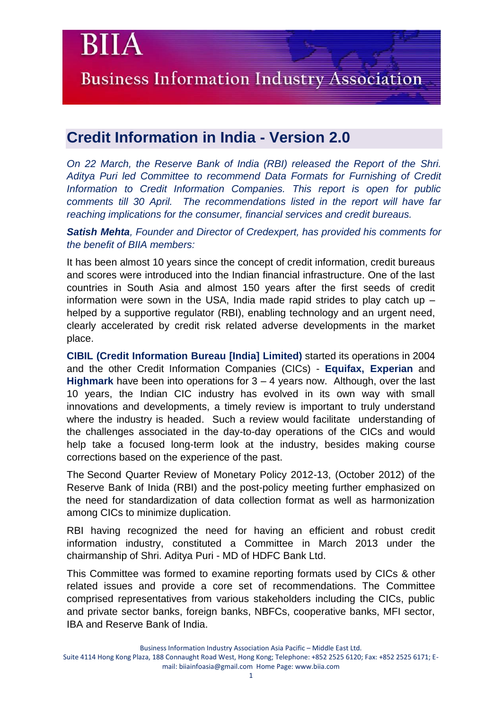**Business Information Industry Association** 

## **Credit Information in India - Version 2.0**

BI

*On 22 March, the Reserve Bank of India (RBI) released the Report of the Shri. Aditya Puri led Committee to recommend Data Formats for Furnishing of Credit Information to Credit Information Companies. This report is open for public comments till 30 April. The recommendations listed in the report will have far reaching implications for the consumer, financial services and credit bureaus.*

*Satish Mehta, Founder and Director of Credexpert, has provided his comments for the benefit of BIIA members:* 

It has been almost 10 years since the concept of credit information, credit bureaus and scores were introduced into the Indian financial infrastructure. One of the last countries in South Asia and almost 150 years after the first seeds of credit information were sown in the USA, India made rapid strides to play catch up – helped by a supportive regulator (RBI), enabling technology and an urgent need, clearly accelerated by credit risk related adverse developments in the market place.

**CIBIL (Credit Information Bureau [India] Limited)** started its operations in 2004 and the other Credit Information Companies (CICs) - **Equifax, Experian** and **Highmark** have been into operations for 3 – 4 years now. Although, over the last 10 years, the Indian CIC industry has evolved in its own way with small innovations and developments, a timely review is important to truly understand where the industry is headed. Such a review would facilitate understanding of the challenges associated in the day-to-day operations of the CICs and would help take a focused long-term look at the industry, besides making course corrections based on the experience of the past.

The [Second Quarter Review of Monetary Policy 2012-13,](http://rbi.org.in/scripts/NotificationUser.aspx?Id=7647&Mode=0) (October 2012) of the Reserve Bank of Inida (RBI) and the post-policy meeting further emphasized on the need for standardization of data collection format as well as harmonization among CICs to minimize duplication.

RBI having recognized the need for having an efficient and robust credit information industry, constituted a Committee in March 2013 under the chairmanship of Shri. Aditya Puri - MD of HDFC Bank Ltd.

This Committee was formed to examine reporting formats used by CICs & other related issues and provide a core set of recommendations. The Committee comprised representatives from various stakeholders including the CICs, public and private sector banks, foreign banks, NBFCs, cooperative banks, MFI sector, IBA and Reserve Bank of India.

Suite 4114 Hong Kong Plaza, 188 Connaught Road West, Hong Kong; Telephone: +852 2525 6120; Fax: +852 2525 6171; Email: biiainfoasia@gmail.com Home Page: www.biia.com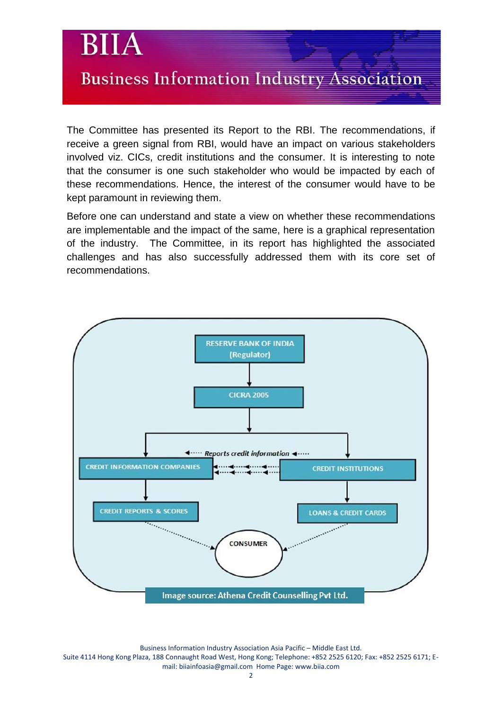

The Committee has presented its Report to the RBI. The recommendations, if receive a green signal from RBI, would have an impact on various stakeholders involved viz. CICs, credit institutions and the consumer. It is interesting to note that the consumer is one such stakeholder who would be impacted by each of these recommendations. Hence, the interest of the consumer would have to be kept paramount in reviewing them.

Before one can understand and state a view on whether these recommendations are implementable and the impact of the same, here is a graphical representation of the industry. The Committee, in its report has highlighted the associated challenges and has also successfully addressed them with its core set of recommendations.

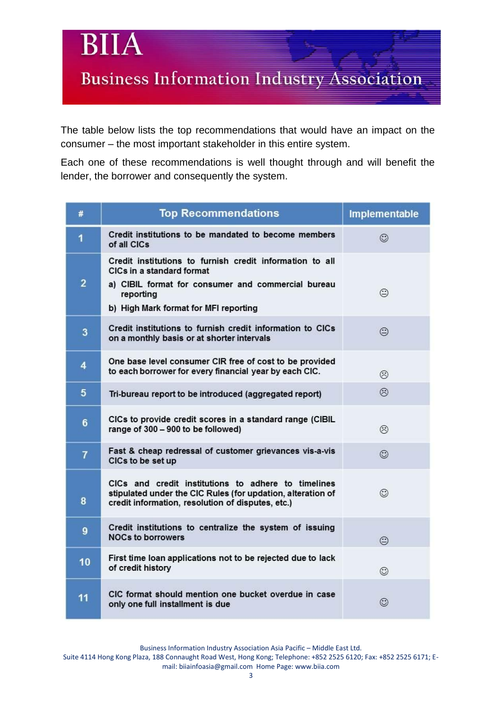**Business Information Industry Association** 

Bl

The table below lists the top recommendations that would have an impact on the consumer – the most important stakeholder in this entire system.

Each one of these recommendations is well thought through and will benefit the lender, the borrower and consequently the system.

| #                | <b>Top Recommendations</b>                                                                                                                                                                        | Implementable |
|------------------|---------------------------------------------------------------------------------------------------------------------------------------------------------------------------------------------------|---------------|
| $\mathbf{1}$     | Credit institutions to be mandated to become members<br>of all CICs                                                                                                                               | ☺             |
| $\overline{2}$   | Credit institutions to furnish credit information to all<br>CICs in a standard format<br>a) CIBIL format for consumer and commercial bureau<br>reporting<br>b) High Mark format for MFI reporting | ☺             |
| 3                | Credit institutions to furnish credit information to CICs<br>on a monthly basis or at shorter intervals                                                                                           | ⊜             |
| 4                | One base level consumer CIR free of cost to be provided<br>to each borrower for every financial year by each CIC.                                                                                 | ⊛             |
| $5\phantom{.0}$  | Tri-bureau report to be introduced (aggregated report)                                                                                                                                            | ⊛             |
| 6                | CICs to provide credit scores in a standard range (CIBIL<br>range of 300 - 900 to be followed)                                                                                                    | ☺             |
| $\overline{7}$   | Fast & cheap redressal of customer grievances vis-a-vis<br>CICs to be set up                                                                                                                      | ☺             |
| 8                | CICs and credit institutions to adhere to timelines<br>stipulated under the CIC Rules (for updation, alteration of<br>credit information, resolution of disputes, etc.)                           | ☺             |
| $\boldsymbol{9}$ | Credit institutions to centralize the system of issuing<br><b>NOCs to borrowers</b>                                                                                                               | ⊕             |
| 10               | First time loan applications not to be rejected due to lack<br>of credit history                                                                                                                  | ☺             |
| 11               | CIC format should mention one bucket overdue in case<br>only one full installment is due                                                                                                          | ☺             |

Business Information Industry Association Asia Pacific – Middle East Ltd.

Suite 4114 Hong Kong Plaza, 188 Connaught Road West, Hong Kong; Telephone: +852 2525 6120; Fax: +852 2525 6171; Email: biiainfoasia@gmail.com Home Page: www.biia.com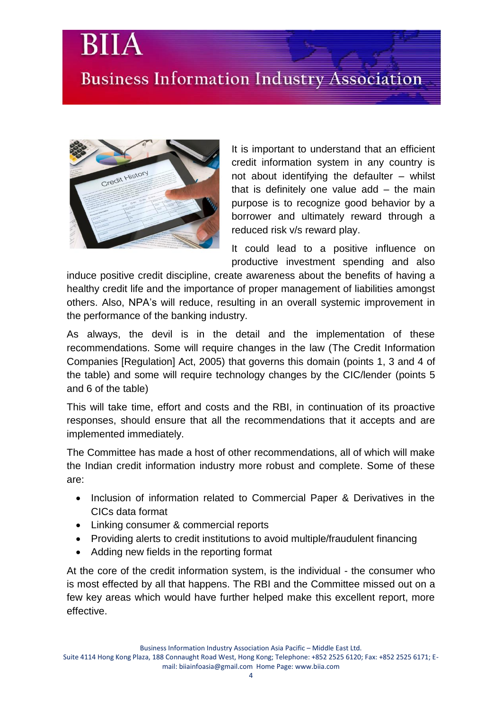## **Business Information Industry Association**



It is important to understand that an efficient credit information system in any country is not about identifying the defaulter – whilst that is definitely one value add – the main purpose is to recognize good behavior by a borrower and ultimately reward through a reduced risk v/s reward play.

It could lead to a positive influence on productive investment spending and also

induce positive credit discipline, create awareness about the benefits of having a healthy credit life and the importance of proper management of liabilities amongst others. Also, NPA's will reduce, resulting in an overall systemic improvement in the performance of the banking industry.

As always, the devil is in the detail and the implementation of these recommendations. Some will require changes in the law (The Credit Information Companies [Regulation] Act, 2005) that governs this domain (points 1, 3 and 4 of the table) and some will require technology changes by the CIC/lender (points 5 and 6 of the table)

This will take time, effort and costs and the RBI, in continuation of its proactive responses, should ensure that all the recommendations that it accepts and are implemented immediately.

The Committee has made a host of other recommendations, all of which will make the Indian credit information industry more robust and complete. Some of these are:

- Inclusion of information related to Commercial Paper & Derivatives in the CICs data format
- Linking consumer & commercial reports
- Providing alerts to credit institutions to avoid multiple/fraudulent financing
- Adding new fields in the reporting format

At the core of the credit information system, is the individual - the consumer who is most effected by all that happens. The RBI and the Committee missed out on a few key areas which would have further helped make this excellent report, more effective.

Suite 4114 Hong Kong Plaza, 188 Connaught Road West, Hong Kong; Telephone: +852 2525 6120; Fax: +852 2525 6171; Email: biiainfoasia@gmail.com Home Page: www.biia.com